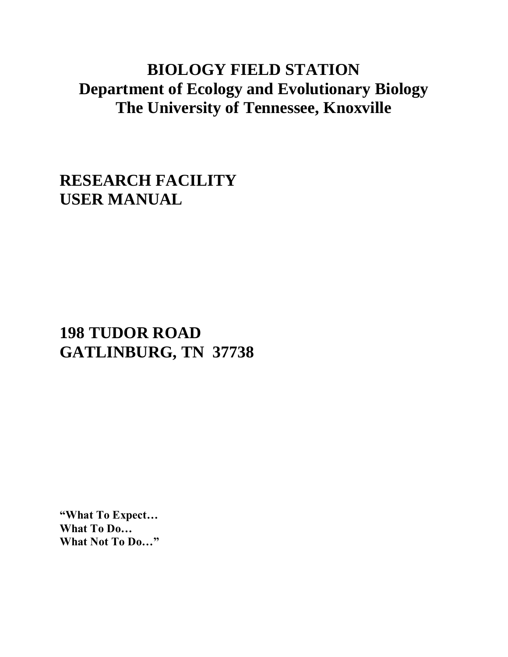## **BIOLOGY FIELD STATION Department of Ecology and Evolutionary Biology The University of Tennessee, Knoxville**

**RESEARCH FACILITY USER MANUAL**

# **198 TUDOR ROAD GATLINBURG, TN 37738**

**"What To Expect… What To Do… What Not To Do…"**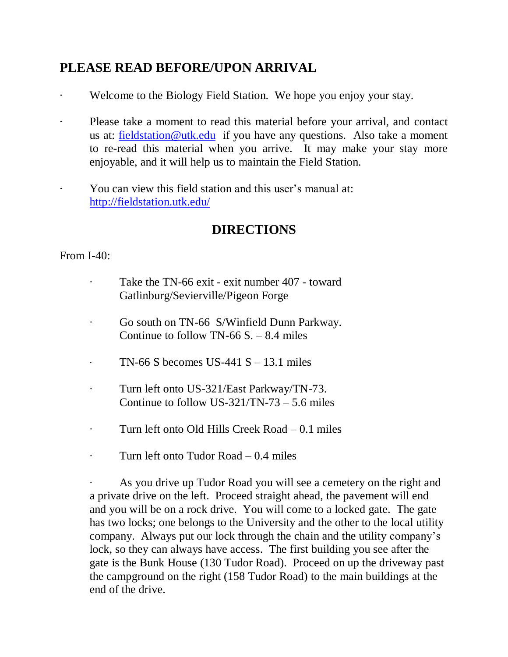## **PLEASE READ BEFORE/UPON ARRIVAL**

- Welcome to the Biology Field Station. We hope you enjoy your stay.
- Please take a moment to read this material before your arrival, and contact us at: [fieldstation@utk.edu](mailto:fieldstation@utk.edu) if you have any questions. Also take a moment to re-read this material when you arrive. It may make your stay more enjoyable, and it will help us to maintain the Field Station.
- You can view this field station and this user's manual at: <http://fieldstation.utk.edu/>

## **DIRECTIONS**

## From I-40:

- Take the TN-66 exit exit number 407 toward Gatlinburg/Sevierville/Pigeon Forge
- ∙ Go south on TN-66 S/Winfield Dunn Parkway. Continue to follow  $TN-66 S = 8.4$  miles
- TN-66 S becomes US-441 S 13.1 miles
- ∙ Turn left onto US-321/East Parkway/TN-73. Continue to follow US-321/TN-73 – 5.6 miles
- ∙ Turn left onto Old Hills Creek Road 0.1 miles
- ∙ Turn left onto Tudor Road 0.4 miles

∙ As you drive up Tudor Road you will see a cemetery on the right and a private drive on the left. Proceed straight ahead, the pavement will end and you will be on a rock drive. You will come to a locked gate. The gate has two locks; one belongs to the University and the other to the local utility company. Always put our lock through the chain and the utility company's lock, so they can always have access. The first building you see after the gate is the Bunk House (130 Tudor Road). Proceed on up the driveway past the campground on the right (158 Tudor Road) to the main buildings at the end of the drive.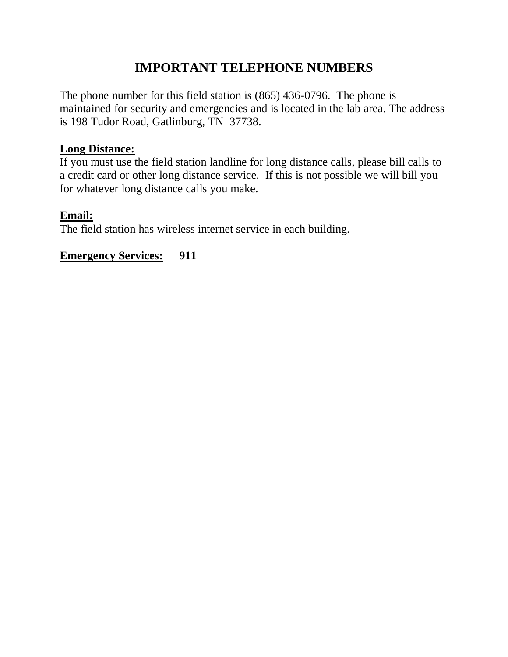## **IMPORTANT TELEPHONE NUMBERS**

The phone number for this field station is (865) 436-0796. The phone is maintained for security and emergencies and is located in the lab area. The address is 198 Tudor Road, Gatlinburg, TN 37738.

#### **Long Distance:**

If you must use the field station landline for long distance calls, please bill calls to a credit card or other long distance service. If this is not possible we will bill you for whatever long distance calls you make.

#### **Email:**

The field station has wireless internet service in each building.

**Emergency Services: 911**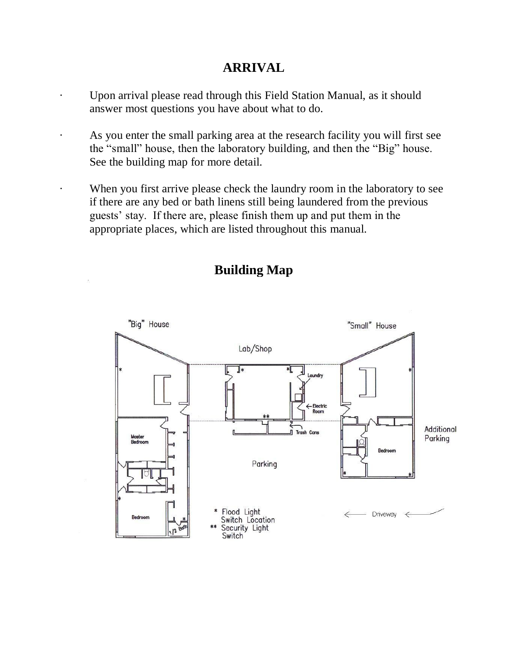## **ARRIVAL**

- Upon arrival please read through this Field Station Manual, as it should answer most questions you have about what to do.
- · As you enter the small parking area at the research facility you will first see the "small" house, then the laboratory building, and then the "Big" house. See the building map for more detail.
- When you first arrive please check the laundry room in the laboratory to see if there are any bed or bath linens still being laundered from the previous guests' stay. If there are, please finish them up and put them in the appropriate places, which are listed throughout this manual.



## **Building Map**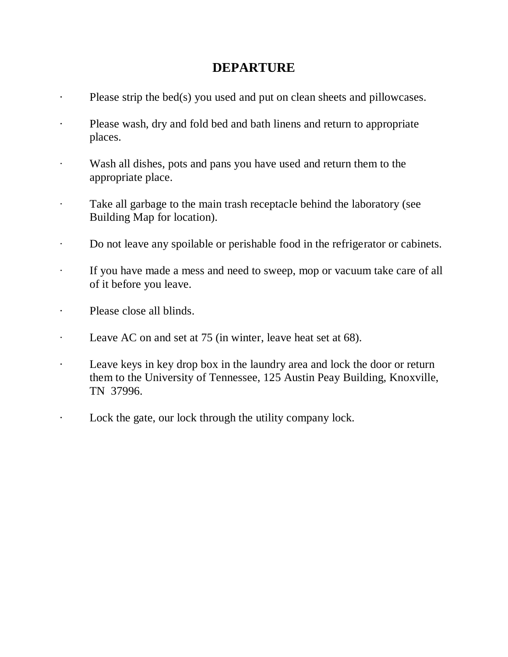## **DEPARTURE**

- Please strip the bed(s) you used and put on clean sheets and pillowcases.
- · Please wash, dry and fold bed and bath linens and return to appropriate places.
- ∙ Wash all dishes, pots and pans you have used and return them to the appropriate place.
- ∙ Take all garbage to the main trash receptacle behind the laboratory (see Building Map for location).
- ∙ Do not leave any spoilable or perishable food in the refrigerator or cabinets.
- ∙ If you have made a mess and need to sweep, mop or vacuum take care of all of it before you leave.
- · Please close all blinds.
- Leave AC on and set at 75 (in winter, leave heat set at 68).
- · Leave keys in key drop box in the laundry area and lock the door or return them to the University of Tennessee, 125 Austin Peay Building, Knoxville, TN 37996.
- · Lock the gate, our lock through the utility company lock.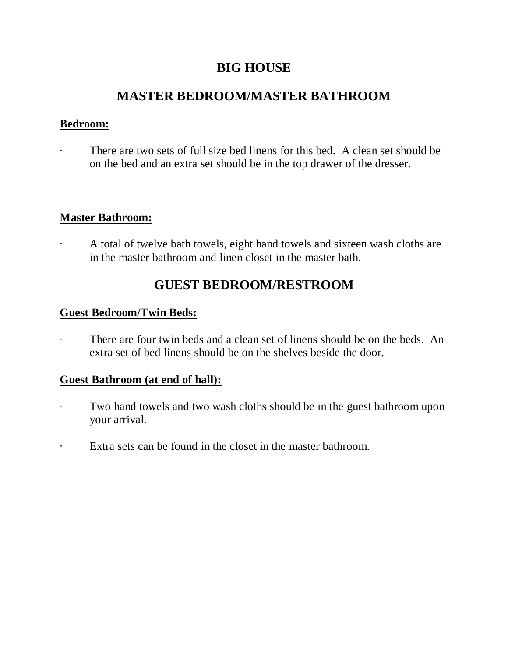## **BIG HOUSE**

## **MASTER BEDROOM/MASTER BATHROOM**

#### **Bedroom:**

There are two sets of full size bed linens for this bed. A clean set should be on the bed and an extra set should be in the top drawer of the dresser.

#### **Master Bathroom:**

· A total of twelve bath towels, eight hand towels and sixteen wash cloths are in the master bathroom and linen closet in the master bath.

## **GUEST BEDROOM/RESTROOM**

#### **Guest Bedroom/Twin Beds:**

There are four twin beds and a clean set of linens should be on the beds. An extra set of bed linens should be on the shelves beside the door.

#### **Guest Bathroom (at end of hall):**

- Two hand towels and two wash cloths should be in the guest bathroom upon your arrival.
- · Extra sets can be found in the closet in the master bathroom.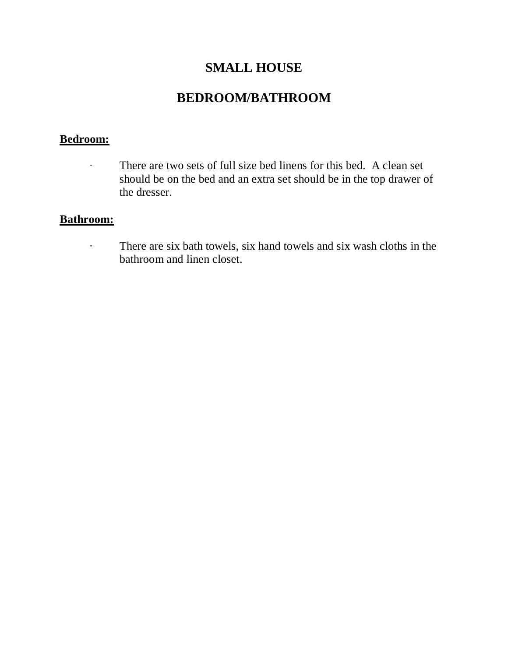## **SMALL HOUSE**

## **BEDROOM/BATHROOM**

#### **Bedroom:**

∙ There are two sets of full size bed linens for this bed. A clean set should be on the bed and an extra set should be in the top drawer of the dresser.

#### **Bathroom:**

∙ There are six bath towels, six hand towels and six wash cloths in the bathroom and linen closet.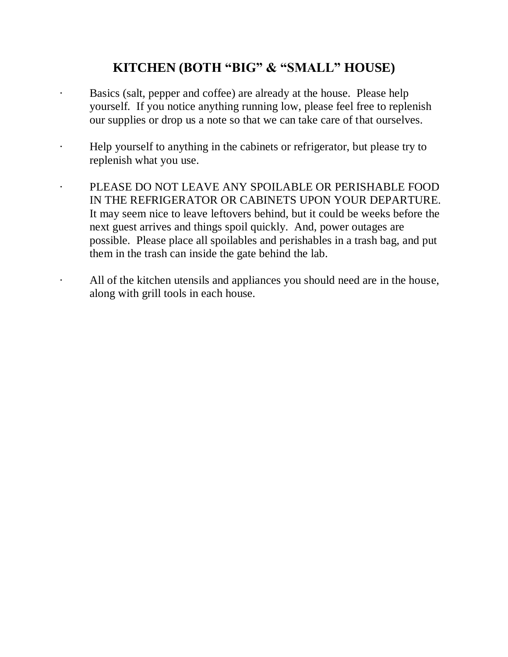## **KITCHEN (BOTH "BIG" & "SMALL" HOUSE)**

- Basics (salt, pepper and coffee) are already at the house. Please help yourself. If you notice anything running low, please feel free to replenish our supplies or drop us a note so that we can take care of that ourselves.
- · Help yourself to anything in the cabinets or refrigerator, but please try to replenish what you use.
- PLEASE DO NOT LEAVE ANY SPOILABLE OR PERISHABLE FOOD IN THE REFRIGERATOR OR CABINETS UPON YOUR DEPARTURE. It may seem nice to leave leftovers behind, but it could be weeks before the next guest arrives and things spoil quickly. And, power outages are possible. Please place all spoilables and perishables in a trash bag, and put them in the trash can inside the gate behind the lab.
	- All of the kitchen utensils and appliances you should need are in the house, along with grill tools in each house.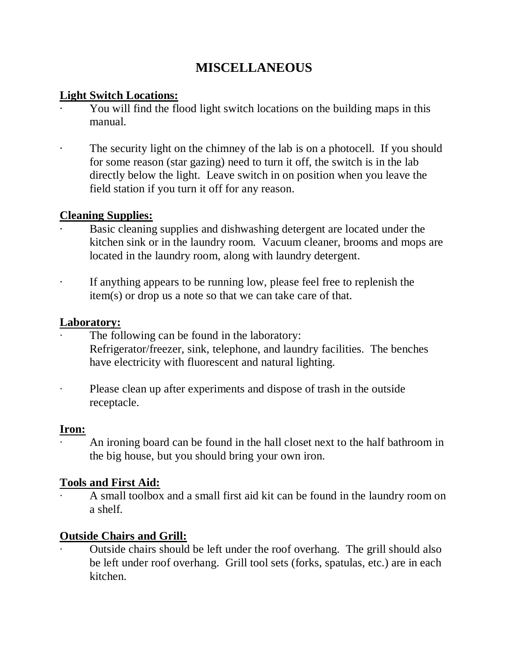## **MISCELLANEOUS**

## **Light Switch Locations:**

- You will find the flood light switch locations on the building maps in this manual.
- The security light on the chimney of the lab is on a photocell. If you should for some reason (star gazing) need to turn it off, the switch is in the lab directly below the light. Leave switch in on position when you leave the field station if you turn it off for any reason.

## **Cleaning Supplies:**

- Basic cleaning supplies and dishwashing detergent are located under the kitchen sink or in the laundry room. Vacuum cleaner, brooms and mops are located in the laundry room, along with laundry detergent.
- · If anything appears to be running low, please feel free to replenish the item(s) or drop us a note so that we can take care of that.

#### **Laboratory:**

- The following can be found in the laboratory: Refrigerator/freezer, sink, telephone, and laundry facilities. The benches have electricity with fluorescent and natural lighting.
- ∙ Please clean up after experiments and dispose of trash in the outside receptacle.

#### **Iron:**

∙ An ironing board can be found in the hall closet next to the half bathroom in the big house, but you should bring your own iron.

## **Tools and First Aid:**

∙ A small toolbox and a small first aid kit can be found in the laundry room on a shelf.

## **Outside Chairs and Grill:**

∙ Outside chairs should be left under the roof overhang. The grill should also be left under roof overhang. Grill tool sets (forks, spatulas, etc.) are in each kitchen.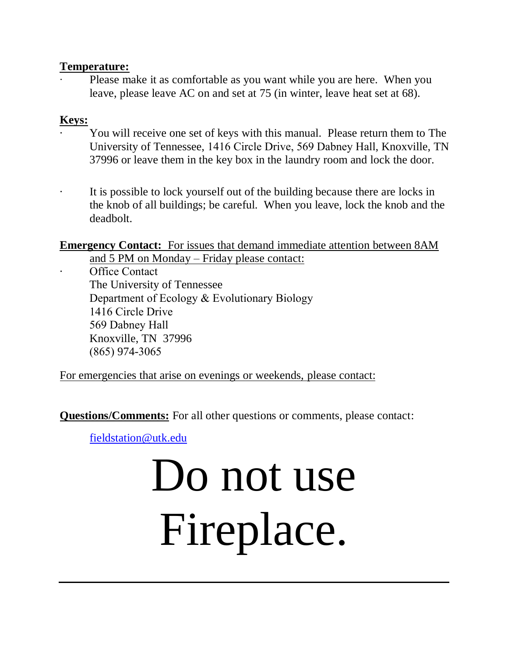#### **Temperature:**

∙ Please make it as comfortable as you want while you are here. When you leave, please leave AC on and set at 75 (in winter, leave heat set at 68).

## **Keys:**

- · You will receive one set of keys with this manual. Please return them to The University of Tennessee, 1416 Circle Drive, 569 Dabney Hall, Knoxville, TN 37996 or leave them in the key box in the laundry room and lock the door.
	- It is possible to lock yourself out of the building because there are locks in the knob of all buildings; be careful. When you leave, lock the knob and the deadbolt.

**Emergency Contact:** For issues that demand immediate attention between 8AM

and 5 PM on Monday – Friday please contact:

Office Contact

The University of Tennessee Department of Ecology & Evolutionary Biology 1416 Circle Drive 569 Dabney Hall Knoxville, TN 37996 (865) 974-3065

For emergencies that arise on evenings or weekends, please contact:

**Ques[tions/Comments:](mailto:fieldstation@utk.edu)** For all other questions or comments, please contact:

fieldstation@utk.edu

# Do not use Fireplace.